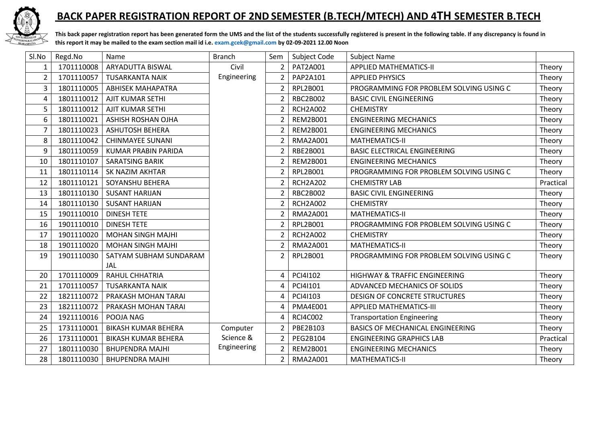

## **BACK PAPER REGISTRATION REPORT OF 2ND SEMESTER (B.TECH/MTECH) AND 4TH SEMESTER B.TECH**

**This back paper registration report has been generated form the UMS and the list of the students successfully registered is present in the following table. If any discrepancy is found in this report it may be mailed to the exam section mail id i.e. [exam.gcek@gmail.com](mailto:exam.gcek@gmail.com) by 02-09-2021 12.00 Noon** 

| Sl.No          | Regd.No    | Name                       | <b>Branch</b> | Sem                      | Subject Code    | <b>Subject Name</b>                      |           |
|----------------|------------|----------------------------|---------------|--------------------------|-----------------|------------------------------------------|-----------|
| $\mathbf{1}$   | 1701110008 | ARYADUTTA BISWAL           | Civil         | 2 <sup>1</sup>           | PAT2A001        | <b>APPLIED MATHEMATICS-II</b>            | Theory    |
| $\overline{2}$ | 1701110057 | <b>TUSARKANTA NAIK</b>     | Engineering   | $\overline{2}$           | PAP2A101        | <b>APPLIED PHYSICS</b>                   | Theory    |
| 3              | 1801110005 | <b>ABHISEK MAHAPATRA</b>   |               | $\overline{2}$           | RPL2B001        | PROGRAMMING FOR PROBLEM SOLVING USING C  | Theory    |
| 4              | 1801110012 | <b>AJIT KUMAR SETHI</b>    |               | $\overline{2}$           | RBC2B002        | <b>BASIC CIVIL ENGINEERING</b>           | Theory    |
| 5              | 1801110012 | AJIT KUMAR SETHI           |               | $\overline{2}$           | <b>RCH2A002</b> | <b>CHEMISTRY</b>                         | Theory    |
| 6              | 1801110021 | ASHISH ROSHAN OJHA         |               | 2                        | <b>REM2B001</b> | <b>ENGINEERING MECHANICS</b>             | Theory    |
| 7              | 1801110023 | <b>ASHUTOSH BEHERA</b>     |               | $\overline{2}$           | <b>REM2B001</b> | <b>ENGINEERING MECHANICS</b>             | Theory    |
| 8              | 1801110042 | <b>CHINMAYEE SUNANI</b>    |               | $\mathfrak z$            | <b>RMA2A001</b> | <b>MATHEMATICS-II</b>                    | Theory    |
| 9              | 1801110059 | <b>KUMAR PRABIN PARIDA</b> |               | $\overline{2}$           | RBE2B001        | <b>BASIC ELECTRICAL ENGINEERING</b>      | Theory    |
| 10             | 1801110107 | <b>SARATSING BARIK</b>     |               | $\mathfrak z$            | <b>REM2B001</b> | <b>ENGINEERING MECHANICS</b>             | Theory    |
| 11             | 1801110114 | SK NAZIM AKHTAR            |               | $\overline{2}$           | RPL2B001        | PROGRAMMING FOR PROBLEM SOLVING USING C  | Theory    |
| 12             | 1801110121 | SOYANSHU BEHERA            |               | $\overline{\phantom{a}}$ | <b>RCH2A202</b> | <b>CHEMISTRY LAB</b>                     | Practical |
| 13             | 1801110130 | <b>SUSANT HARIJAN</b>      |               | $\overline{2}$           | <b>RBC2B002</b> | <b>BASIC CIVIL ENGINEERING</b>           | Theory    |
| 14             | 1801110130 | <b>SUSANT HARIJAN</b>      |               | $\overline{2}$           | <b>RCH2A002</b> | <b>CHEMISTRY</b>                         | Theory    |
| 15             | 1901110010 | <b>DINESH TETE</b>         |               | $\overline{2}$           | <b>RMA2A001</b> | <b>MATHEMATICS-II</b>                    | Theory    |
| 16             | 1901110010 | <b>DINESH TETE</b>         |               | $\overline{2}$           | RPL2B001        | PROGRAMMING FOR PROBLEM SOLVING USING C  | Theory    |
| 17             | 1901110020 | <b>MOHAN SINGH MAJHI</b>   |               | $\overline{2}$           | <b>RCH2A002</b> | <b>CHEMISTRY</b>                         | Theory    |
| 18             | 1901110020 | <b>MOHAN SINGH MAJHI</b>   |               | $\overline{2}$           | <b>RMA2A001</b> | <b>MATHEMATICS-II</b>                    | Theory    |
| 19             | 1901110030 | SATYAM SUBHAM SUNDARAM     |               | $\overline{2}$           | RPL2B001        | PROGRAMMING FOR PROBLEM SOLVING USING C  | Theory    |
|                |            | JAL                        |               |                          |                 |                                          |           |
| 20             | 1701110009 | <b>RAHUL CHHATRIA</b>      |               | 4                        | PCI4I102        | <b>HIGHWAY &amp; TRAFFIC ENGINEERING</b> | Theory    |
| 21             | 1701110057 | TUSARKANTA NAIK            |               | 4                        | PCI4I101        | ADVANCED MECHANICS OF SOLIDS             | Theory    |
| 22             | 1821110072 | PRAKASH MOHAN TARAI        |               | 4                        | PCI4I103        | <b>DESIGN OF CONCRETE STRUCTURES</b>     | Theory    |
| 23             | 1821110072 | PRAKASH MOHAN TARAI        |               | 4                        | <b>PMA4E001</b> | <b>APPLIED MATHEMATICS-III</b>           | Theory    |
| 24             | 1921110016 | POOJA NAG                  |               | 4                        | <b>RCI4C002</b> | <b>Transportation Engineering</b>        | Theory    |
| 25             | 1731110001 | <b>BIKASH KUMAR BEHERA</b> | Computer      | 2                        | PBE2B103        | BASICS OF MECHANICAL ENGINEERING         | Theory    |
| 26             | 1731110001 | <b>BIKASH KUMAR BEHERA</b> | Science &     | $\overline{2}$           | PEG2B104        | <b>ENGINEERING GRAPHICS LAB</b>          | Practical |
| 27             | 1801110030 | <b>BHUPENDRA MAJHI</b>     | Engineering   | $\overline{2}$           | <b>REM2B001</b> | <b>ENGINEERING MECHANICS</b>             | Theory    |
| 28             | 1801110030 | <b>BHUPENDRA MAJHI</b>     |               | $\overline{2}$           | <b>RMA2A001</b> | <b>MATHEMATICS-II</b>                    | Theory    |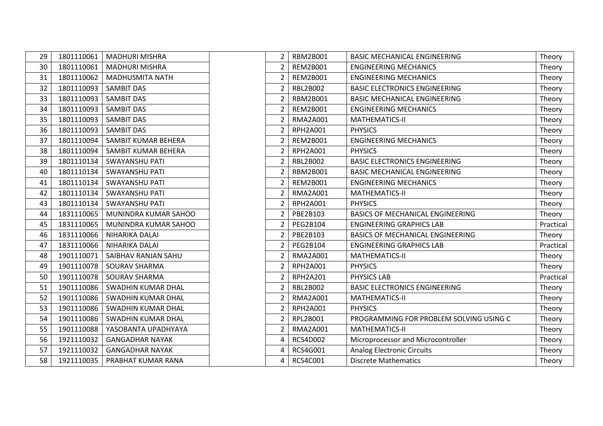| 29 | 1801110061 | <b>MADHURI MISHRA</b>     |
|----|------------|---------------------------|
| 30 | 1801110061 | <b>MADHURI MISHRA</b>     |
| 31 | 1801110062 | <b>MADHUSMITA NATH</b>    |
| 32 | 1801110093 | <b>SAMBIT DAS</b>         |
| 33 | 1801110093 | SAMBIT DAS                |
| 34 | 1801110093 | <b>SAMBIT DAS</b>         |
| 35 | 1801110093 | <b>SAMBIT DAS</b>         |
| 36 | 1801110093 | <b>SAMBIT DAS</b>         |
| 37 | 1801110094 | SAMBIT KUMAR BEHERA       |
| 38 | 1801110094 | SAMBIT KUMAR BEHERA       |
| 39 | 1801110134 | <b>SWAYANSHU PATI</b>     |
| 40 | 1801110134 | <b>SWAYANSHU PATI</b>     |
| 41 | 1801110134 | <b>SWAYANSHU PATI</b>     |
| 42 | 1801110134 | <b>SWAYANSHU PATI</b>     |
| 43 | 1801110134 | <b>SWAYANSHU PATI</b>     |
| 44 | 1831110065 | MUNINDRA KUMAR SAHOO      |
| 45 | 1831110065 | MUNINDRA KUMAR SAHOO      |
| 46 | 1831110066 | NIHARIKA DALAI            |
| 47 | 1831110066 | NIHARIKA DALAI            |
| 48 | 1901110071 | SAIBHAV RANJAN SAHU       |
| 49 | 1901110078 | SOURAV SHARMA             |
| 50 | 1901110078 | SOURAV SHARMA             |
| 51 | 1901110086 | <b>SWADHIN KUMAR DHAL</b> |
| 52 | 1901110086 | SWADHIN KUMAR DHAL        |
| 53 | 1901110086 | <b>SWADHIN KUMAR DHAL</b> |
| 54 | 1901110086 | SWADHIN KUMAR DHAL        |
| 55 | 1901110088 | YASOBANTA UPADHYAYA       |
| 56 | 1921110032 | <b>GANGADHAR NAYAK</b>    |
| 57 | 1921110032 | <b>GANGADHAR NAYAK</b>    |
| 58 | 1921110035 | PRABHAT KUMAR RANA        |

| 29 | 1801110061 | <b>MADHURI MISHRA</b>     | $\overline{2}$ | <b>RBM2B001</b> | <b>BASIC MECHANICAL ENGINEERING</b>     | Theory    |
|----|------------|---------------------------|----------------|-----------------|-----------------------------------------|-----------|
| 30 | 1801110061 | <b>MADHURI MISHRA</b>     | $\overline{2}$ | <b>REM2B001</b> | <b>ENGINEERING MECHANICS</b>            | Theory    |
| 31 | 1801110062 | <b>MADHUSMITA NATH</b>    | 2              | <b>REM2B001</b> | <b>ENGINEERING MECHANICS</b>            | Theory    |
| 32 | 1801110093 | <b>SAMBIT DAS</b>         | 2              | RBL2B002        | <b>BASIC ELECTRONICS ENGINEERING</b>    | Theory    |
| 33 | 1801110093 | <b>SAMBIT DAS</b>         | $\overline{2}$ | <b>RBM2B001</b> | <b>BASIC MECHANICAL ENGINEERING</b>     | Theory    |
| 34 | 1801110093 | <b>SAMBIT DAS</b>         | $\overline{2}$ | <b>REM2B001</b> | <b>ENGINEERING MECHANICS</b>            | Theory    |
| 35 | 1801110093 | <b>SAMBIT DAS</b>         | 2              | <b>RMA2A001</b> | <b>MATHEMATICS-II</b>                   | Theory    |
| 36 | 1801110093 | <b>SAMBIT DAS</b>         | 2              | RPH2A001        | <b>PHYSICS</b>                          | Theory    |
| 37 | 1801110094 | SAMBIT KUMAR BEHERA       | $\overline{2}$ | <b>REM2B001</b> | <b>ENGINEERING MECHANICS</b>            | Theory    |
| 38 | 1801110094 | SAMBIT KUMAR BEHERA       | $\overline{2}$ | RPH2A001        | <b>PHYSICS</b>                          | Theory    |
| 39 | 1801110134 | <b>SWAYANSHU PATI</b>     | $\overline{2}$ | RBL2B002        | <b>BASIC ELECTRONICS ENGINEERING</b>    | Theory    |
| 40 | 1801110134 | <b>SWAYANSHU PATI</b>     | 2              | <b>RBM2B001</b> | <b>BASIC MECHANICAL ENGINEERING</b>     | Theory    |
| 41 | 1801110134 | <b>SWAYANSHU PATI</b>     | $\overline{2}$ | <b>REM2B001</b> | <b>ENGINEERING MECHANICS</b>            | Theory    |
| 42 | 1801110134 | <b>SWAYANSHU PATI</b>     | $\overline{2}$ | <b>RMA2A001</b> | MATHEMATICS-II                          | Theory    |
| 43 | 1801110134 | SWAYANSHU PATI            | 2              | RPH2A001        | <b>PHYSICS</b>                          | Theory    |
| 44 | 1831110065 | MUNINDRA KUMAR SAHOO      | 2              | PBE2B103        | <b>BASICS OF MECHANICAL ENGINEERING</b> | Theory    |
| 45 | 1831110065 | MUNINDRA KUMAR SAHOO      | $\overline{2}$ | PEG2B104        | <b>ENGINEERING GRAPHICS LAB</b>         | Practical |
| 46 | 1831110066 | NIHARIKA DALAI            | $\overline{2}$ | PBE2B103        | BASICS OF MECHANICAL ENGINEERING        | Theory    |
| 47 | 1831110066 | NIHARIKA DALAI            | $\overline{2}$ | <b>PEG2B104</b> | <b>ENGINEERING GRAPHICS LAB</b>         | Practical |
| 48 | 1901110071 | SAIBHAV RANJAN SAHU       | 2              | <b>RMA2A001</b> | MATHEMATICS-II                          | Theory    |
| 49 | 1901110078 | <b>SOURAV SHARMA</b>      | $\overline{2}$ | <b>RPH2A001</b> | <b>PHYSICS</b>                          | Theory    |
| 50 | 1901110078 | <b>SOURAV SHARMA</b>      | $\overline{2}$ | <b>RPH2A201</b> | PHYSICS LAB                             | Practical |
| 51 | 1901110086 | SWADHIN KUMAR DHAL        | 2              | RBL2B002        | <b>BASIC ELECTRONICS ENGINEERING</b>    | Theory    |
| 52 | 1901110086 | <b>SWADHIN KUMAR DHAL</b> | 2              | <b>RMA2A001</b> | <b>MATHEMATICS-II</b>                   | Theory    |
| 53 | 1901110086 | SWADHIN KUMAR DHAL        | $\overline{2}$ | <b>RPH2A001</b> | <b>PHYSICS</b>                          | Theory    |
| 54 | 1901110086 | SWADHIN KUMAR DHAL        | $\overline{2}$ | RPL2B001        | PROGRAMMING FOR PROBLEM SOLVING USING C | Theory    |
| 55 | 1901110088 | YASOBANTA UPADHYAYA       | $\overline{2}$ | <b>RMA2A001</b> | MATHEMATICS-II                          | Theory    |
| 56 | 1921110032 | <b>GANGADHAR NAYAK</b>    | 4              | <b>RCS4D002</b> | Microprocessor and Microcontroller      | Theory    |
| 57 | 1921110032 | <b>GANGADHAR NAYAK</b>    | 4              | <b>RCS4G001</b> | <b>Analog Electronic Circuits</b>       | Theory    |
| 58 | 1921110035 | PRABHAT KUMAR RANA        | 4              | RCS4C001        | <b>Discrete Mathematics</b>             | Theory    |
|    |            |                           |                |                 |                                         |           |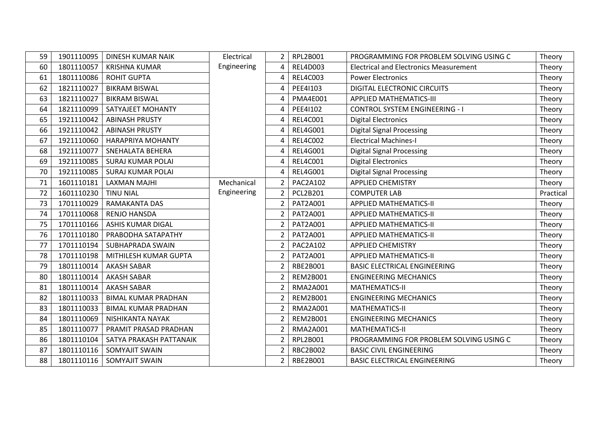| 59 | 1901110095 | <b>DINESH KUMAR NAIK</b>   | Electrical  | 2                        | RPL2B001        | PROGRAMMING FOR PROBLEM SOLVING USING C       | Theory    |
|----|------------|----------------------------|-------------|--------------------------|-----------------|-----------------------------------------------|-----------|
| 60 | 1801110057 | <b>KRISHNA KUMAR</b>       | Engineering | 4                        | <b>REL4D003</b> | <b>Electrical and Electronics Measurement</b> | Theory    |
| 61 | 1801110086 | <b>ROHIT GUPTA</b>         |             | 4                        | <b>REL4C003</b> | <b>Power Electronics</b>                      | Theory    |
| 62 | 1821110027 | <b>BIKRAM BISWAL</b>       |             | 4                        | PEE41103        | DIGITAL ELECTRONIC CIRCUITS                   | Theory    |
| 63 | 1821110027 | <b>BIKRAM BISWAL</b>       |             | 4                        | <b>PMA4E001</b> | <b>APPLIED MATHEMATICS-III</b>                | Theory    |
| 64 | 1821110099 | SATYAJEET MOHANTY          |             | 4                        | PEE41102        | <b>CONTROL SYSTEM ENGINEERING - I</b>         | Theory    |
| 65 | 1921110042 | <b>ABINASH PRUSTY</b>      |             | 4                        | <b>REL4C001</b> | <b>Digital Electronics</b>                    | Theory    |
| 66 | 1921110042 | <b>ABINASH PRUSTY</b>      |             | 4                        | REL4G001        | <b>Digital Signal Processing</b>              | Theory    |
| 67 | 1921110060 | <b>HARAPRIYA MOHANTY</b>   |             | 4                        | <b>REL4C002</b> | <b>Electrical Machines-I</b>                  | Theory    |
| 68 | 1921110077 | SNEHALATA BEHERA           |             | 4                        | REL4G001        | <b>Digital Signal Processing</b>              | Theory    |
| 69 | 1921110085 | <b>SURAJ KUMAR POLAI</b>   |             | 4                        | <b>REL4C001</b> | <b>Digital Electronics</b>                    | Theory    |
| 70 | 1921110085 | <b>SURAJ KUMAR POLAI</b>   |             | 4                        | <b>REL4G001</b> | <b>Digital Signal Processing</b>              | Theory    |
| 71 | 1601110181 | <b>LAXMAN MAJHI</b>        | Mechanical  | $\overline{2}$           | <b>PAC2A102</b> | <b>APPLIED CHEMISTRY</b>                      | Theory    |
| 72 | 1601110230 | <b>TINU NIAL</b>           | Engineering | $\overline{2}$           | <b>PCL2B201</b> | <b>COMPUTER LAB</b>                           | Practical |
| 73 | 1701110029 | <b>RAMAKANTA DAS</b>       |             | $\overline{\phantom{a}}$ | PAT2A001        | <b>APPLIED MATHEMATICS-II</b>                 | Theory    |
| 74 | 1701110068 | <b>RENJO HANSDA</b>        |             | 2                        | PAT2A001        | <b>APPLIED MATHEMATICS-II</b>                 | Theory    |
| 75 | 1701110166 | <b>ASHIS KUMAR DIGAL</b>   |             | $\overline{2}$           | PAT2A001        | <b>APPLIED MATHEMATICS-II</b>                 | Theory    |
| 76 | 1701110180 | PRABODHA SATAPATHY         |             | $\overline{2}$           | PAT2A001        | <b>APPLIED MATHEMATICS-II</b>                 | Theory    |
| 77 | 1701110194 | SUBHAPRADA SWAIN           |             | 2                        | PAC2A102        | <b>APPLIED CHEMISTRY</b>                      | Theory    |
| 78 | 1701110198 | MITHILESH KUMAR GUPTA      |             | $\overline{2}$           | PAT2A001        | <b>APPLIED MATHEMATICS-II</b>                 | Theory    |
| 79 | 1801110014 | <b>AKASH SABAR</b>         |             | 2                        | RBE2B001        | <b>BASIC ELECTRICAL ENGINEERING</b>           | Theory    |
| 80 | 1801110014 | <b>AKASH SABAR</b>         |             | 2                        | <b>REM2B001</b> | <b>ENGINEERING MECHANICS</b>                  | Theory    |
| 81 | 1801110014 | <b>AKASH SABAR</b>         |             | 2                        | <b>RMA2A001</b> | MATHEMATICS-II                                | Theory    |
| 82 | 1801110033 | <b>BIMAL KUMAR PRADHAN</b> |             | 2                        | <b>REM2B001</b> | <b>ENGINEERING MECHANICS</b>                  | Theory    |
| 83 | 1801110033 | <b>BIMAL KUMAR PRADHAN</b> |             | 2                        | <b>RMA2A001</b> | MATHEMATICS-II                                | Theory    |
| 84 | 1801110069 | NISHIKANTA NAYAK           |             | 2                        | <b>REM2B001</b> | <b>ENGINEERING MECHANICS</b>                  | Theory    |
| 85 | 1801110077 | PRAMIT PRASAD PRADHAN      |             | 2                        | <b>RMA2A001</b> | <b>MATHEMATICS-II</b>                         | Theory    |
| 86 | 1801110104 | SATYA PRAKASH PATTANAIK    |             | $\overline{2}$           | RPL2B001        | PROGRAMMING FOR PROBLEM SOLVING USING C       | Theory    |
| 87 | 1801110116 | SOMYAJIT SWAIN             |             | $\mathfrak z$            | <b>RBC2B002</b> | <b>BASIC CIVIL ENGINEERING</b>                | Theory    |
| 88 | 1801110116 | <b>SOMYAJIT SWAIN</b>      |             | $\overline{2}$           | RBE2B001        | <b>BASIC ELECTRICAL ENGINEERING</b>           | Theory    |